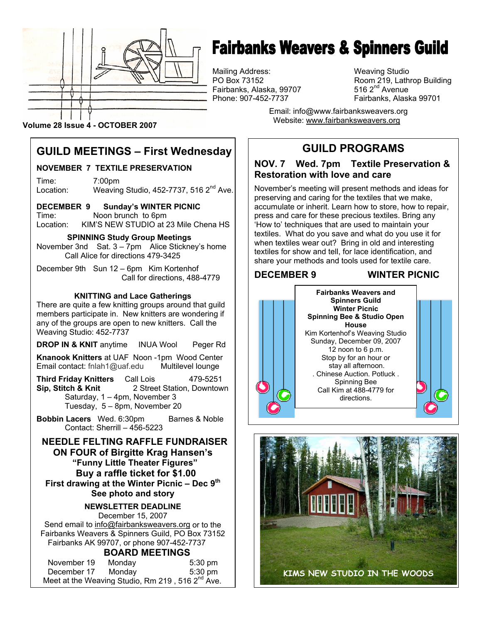

# **Fairbanks Weavers & Spinners Guild**

Mailing Address: Weaving Studio Fairbanks, Alaska, 99707

Room 219, Lathrop Building 516  $2<sup>nd</sup>$  Avenue Phone: 907-452-7737 Fairbanks, Alaska 99701

> Email: info@www.fairbanksweavers.org Website: www.fairbanksweavers.org

#### **Volume 28 Issue 4 - OCTOBER 2007**

## **GUILD MEETINGS – First Wednesday**

#### **NOVEMBER 7 TEXTILE PRESERVATION**

Time: 7:00pm Location: Weaving Studio, 452-7737, 516  $2^{nd}$  Ave.

**DECEMBER 9 Sunday's WINTER PICNIC**  Time: Noon brunch to 6pm Location: KIM'S NEW STUDIO at 23 Mile Chena HS

 **SPINNING Study Group Meetings**  November 3nd Sat. 3 – 7pm Alice Stickney's home Call Alice for directions 479-3425

December 9th Sun 12 – 6pm Kim Kortenhof Call for directions, 488-4779

#### **KNITTING and Lace Gatherings**

There are quite a few knitting groups around that guild members participate in. New knitters are wondering if any of the groups are open to new knitters. Call the Weaving Studio: 452-7737

**DROP IN & KNIT** anytime INUA Wool Peger Rd

**Knanook Knitters** at UAF Noon -1pm Wood Center Email contact: fnlah1@uaf.edu Multilevel lounge

**Third Friday Knitters** Call Lois 479-5251 **Sip, Stitch & Knit** 2 Street Station, Downtown Saturday, 1 – 4pm, November 3 Tuesday, 5 – 8pm, November 20

**Bobbin Lacers** Wed. 6:30pm Barnes & Noble Contact: Sherrill – 456-5223

 **NEEDLE FELTING RAFFLE FUNDRAISER ON FOUR of Birgitte Krag Hansen's "Funny Little Theater Figures" Buy a raffle ticket for \$1.00 First drawing at the Winter Picnic – Dec 9th See photo and story** 

#### **NEWSLETTER DEADLINE**  December 15, 2007

Send email to info@fairbanksweavers.org or to the Fairbanks Weavers & Spinners Guild, PO Box 73152 Fairbanks AK 99707, or phone 907-452-7737

#### **BOARD MEETINGS**

| November 19 | Monday | $5:30$ pm                                                    |
|-------------|--------|--------------------------------------------------------------|
| December 17 | Mondav | $5:30$ pm                                                    |
|             |        | Meet at the Weaving Studio, Rm 219, 516 2 <sup>nd</sup> Ave. |

**GUILD PROGRAMS** 

#### **NOV. 7 Wed. 7pm Textile Preservation & Restoration with love and care**

November's meeting will present methods and ideas for preserving and caring for the textiles that we make, accumulate or inherit. Learn how to store, how to repair, press and care for these precious textiles. Bring any 'How to' techniques that are used to maintain your textiles. What do you save and what do you use it for when textiles wear out? Bring in old and interesting textiles for show and tell, for lace identification, and share your methods and tools used for textile care.

#### **DECEMBER 9 WINTER PICNIC**



**Spinners Guild Winter Picnic Spinning Bee & Studio Open House**  Kim Kortenhof's Weaving Studio Sunday, December 09, 2007 12 noon to 6 p.m. Stop by for an hour or stay all afternoon. . Chinese Auction. Potluck . Spinning Bee Call Kim at 488-4779 for directions.

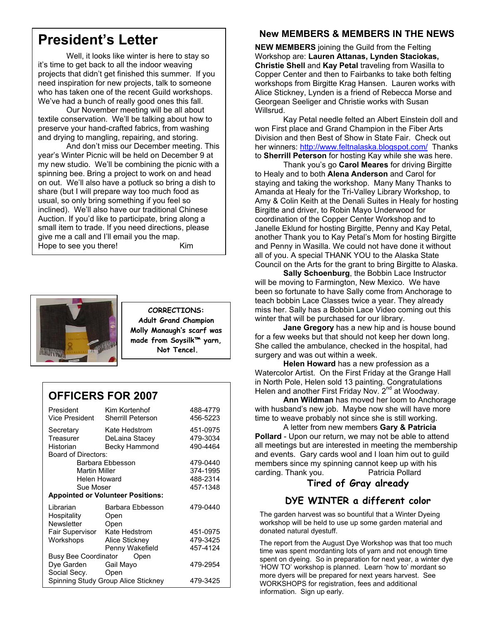## **President's Letter**

 Well, it looks like winter is here to stay so it's time to get back to all the indoor weaving projects that didn't get finished this summer. If you need inspiration for new projects, talk to someone who has taken one of the recent Guild workshops. We've had a bunch of really good ones this fall.

 Our November meeting will be all about textile conservation. We'll be talking about how to preserve your hand-crafted fabrics, from washing and drying to mangling, repairing, and storing.

 And don't miss our December meeting. This year's Winter Picnic will be held on December 9 at my new studio. We'll be combining the picnic with a spinning bee. Bring a project to work on and head on out. We'll also have a potluck so bring a dish to share (but I will prepare way too much food as usual, so only bring something if you feel so inclined). We'll also have our traditional Chinese Auction. If you'd like to participate, bring along a small item to trade. If you need directions, please give me a call and I'll email you the map. Hope to see you there! Kim



**CORRECTIONS: Adult Grand Champion Molly Manaugh's scarf was made from Soysilk™ yarn, Not Tencel.** 

## **OFFICERS FOR 2007**

| President<br>Vice President              | Kim Kortenhof<br><b>Sherrill Peterson</b> | 488-4779<br>456-5223 |  |  |
|------------------------------------------|-------------------------------------------|----------------------|--|--|
| Secretary                                | Kate Hedstrom                             | 451-0975             |  |  |
| Treasurer                                | DeLaina Stacey                            | 479-3034             |  |  |
| Historian                                | Becky Hammond                             | 490-4464             |  |  |
| Board of Directors:                      |                                           |                      |  |  |
| Barbara Ebbesson                         |                                           | 479-0440             |  |  |
| <b>Martin Miller</b>                     |                                           | 374-1995             |  |  |
| Helen Howard                             |                                           | 488-2314             |  |  |
| Sue Moser                                |                                           | 457-1348             |  |  |
| <b>Appointed or Volunteer Positions:</b> |                                           |                      |  |  |
| Librarian                                | Barbara Ebbesson                          | 479-0440             |  |  |
| Hospitality                              | Open                                      |                      |  |  |
| <b>Newsletter</b>                        | Open                                      |                      |  |  |
| Fair Supervisor                          | Kate Hedstrom                             | 451-0975             |  |  |
| Workshops                                | Alice Stickney                            | 479-3425             |  |  |
|                                          | Penny Wakefield                           | 457-4124             |  |  |
| Busy Bee Coordinator<br>Open             |                                           |                      |  |  |
| Dye Garden                               | Gail Mayo                                 | 479-2954             |  |  |
| Social Secy. Open                        |                                           |                      |  |  |
| Spinning Study Group Alice Stickney      |                                           | 479-3425             |  |  |

## **New MEMBERS & MEMBERS IN THE NEWS**

**NEW MEMBERS** joining the Guild from the Felting Workshop are: **Lauren Attanas, Lynden Staciokas, Christie Shell** and **Kay Petal** traveling from Wasilla to Copper Center and then to Fairbanks to take both felting workshops from Birgitte Krag Hansen. Lauren works with Alice Stickney, Lynden is a friend of Rebecca Morse and Georgean Seeliger and Christie works with Susan Willsrud.

 Kay Petal needle felted an Albert Einstein doll and won First place and Grand Champion in the Fiber Arts Division and then Best of Show in State Fair. Check out her winners: http://www.feltnalaska.blogspot.com/ Thanks to **Sherrill Peterson** for hosting Kay while she was here.

 Thank you's go **Carol Meares** for driving Birgitte to Healy and to both **Alena Anderson** and Carol for staying and taking the workshop. Many Many Thanks to Amanda at Healy for the Tri-Valley Library Workshop, to Amy & Colin Keith at the Denali Suites in Healy for hosting Birgitte and driver, to Robin Mayo Underwood for coordination of the Copper Center Workshop and to Janelle Eklund for hosting Birgitte, Penny and Kay Petal, another Thank you to Kay Petal's Mom for hosting Birgitte and Penny in Wasilla. We could not have done it without all of you. A special THANK YOU to the Alaska State Council on the Arts for the grant to bring Birgitte to Alaska.

 **Sally Schoenburg**, the Bobbin Lace Instructor will be moving to Farmington, New Mexico. We have been so fortunate to have Sally come from Anchorage to teach bobbin Lace Classes twice a year. They already miss her. Sally has a Bobbin Lace Video coming out this winter that will be purchased for our library.

 **Jane Gregory** has a new hip and is house bound for a few weeks but that should not keep her down long. She called the ambulance, checked in the hospital, had surgery and was out within a week.

 **Helen Howard** has a new profession as a Watercolor Artist. On the First Friday at the Grange Hall in North Pole, Helen sold 13 painting. Congratulations Helen and another First Friday Nov. 2<sup>nd</sup> at Woodway.

**Ann Wildman** has moved her loom to Anchorage with husband's new job. Maybe now she will have more time to weave probably not since she is still working.

 A letter from new members **Gary & Patricia Pollard** - Upon our return, we may not be able to attend all meetings but are interested in meeting the membership and events. Gary cards wool and I loan him out to guild members since my spinning cannot keep up with his carding. Thank you. Patricia Pollard

## **Tired of Gray already**

## **DYE WINTER a different color**

The garden harvest was so bountiful that a Winter Dyeing workshop will be held to use up some garden material and donated natural dyestuff.

The report from the August Dye Workshop was that too much time was spent mordanting lots of yarn and not enough time spent on dyeing. So in preparation for next year, a winter dye 'HOW TO' workshop is planned. Learn 'how to' mordant so more dyers will be prepared for next years harvest. See WORKSHOPS for registration, fees and additional information. Sign up early.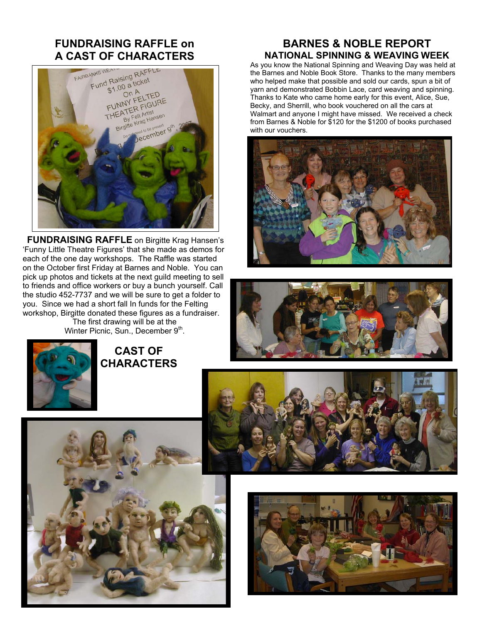# **FUNDRAISING RAFFLE on**



**FUNDRAISING RAFFLE** on Birgitte Krag Hansen's 'Funny Little Theatre Figures' that she made as demos for each of the one day workshops. The Raffle was started on the October first Friday at Barnes and Noble. You can pick up photos and tickets at the next guild meeting to sell to friends and office workers or buy a bunch yourself. Call the studio 452-7737 and we will be sure to get a folder to you. Since we had a short fall In funds for the Felting workshop, Birgitte donated these figures as a fundraiser. The first drawing will be at the

Winter Picnic, Sun., December  $9<sup>th</sup>$ .



 **CAST OF CHARACTERS** 

### **BARNES & NOBLE REPORT NATIONAL SPINNING & WEAVING WEEK**

As you know the National Spinning and Weaving Day was held at the Barnes and Noble Book Store. Thanks to the many members who helped make that possible and sold our cards, spun a bit of yarn and demonstrated Bobbin Lace, card weaving and spinning. Thanks to Kate who came home early for this event, Alice, Sue, Becky, and Sherrill, who book vouchered on all the cars at Walmart and anyone I might have missed. We received a check from Barnes & Noble for \$120 for the \$1200 of books purchased with our vouchers.









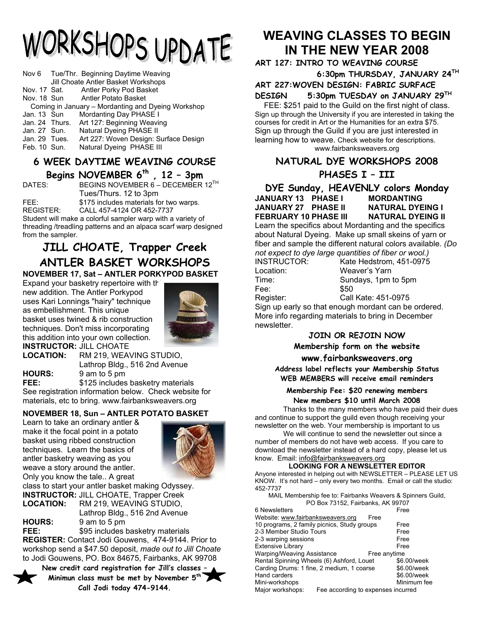# WORKSHOPS UPDATE

|                                                    |                | Nov 6 Tue/Thr. Beginning Daytime Weaving<br>Jill Choate Antler Basket Workshops |  |
|----------------------------------------------------|----------------|---------------------------------------------------------------------------------|--|
|                                                    | Nov. 17 Sat.   | Antler Porky Pod Basket                                                         |  |
|                                                    |                | Nov. 18 Sun Antler Potato Basket                                                |  |
| Coming in January – Mordanting and Dyeing Workshop |                |                                                                                 |  |
| Jan. 13 Sun                                        |                | Mordanting Day PHASE I                                                          |  |
|                                                    | Jan. 24 Thurs. | Art 127: Beginning Weaving                                                      |  |
| Jan. 27 Sun.                                       |                | Natural Dyeing PHASE II                                                         |  |
| Jan. 29 Tues.                                      |                | Art 227: Woven Design: Surface Design                                           |  |
| Feb. 10 Sun.                                       |                | Natural Dyeing PHASE III                                                        |  |

#### **6 WEEK DAYTIME WEAVING COURSE Begins NOVEMBER 6th , 12 – 3pm**

DATES: BEGINS NOVEMBER 6 – DECEMBER 12<sup>TH</sup> Tues/Thurs. 12 to 3pm FEE: \$175 includes materials for two warps. REGISTER: CALL 457-4124 OR 452-7737 Student will make a colorful sampler warp with a variety of

threading /treadling patterns and an alpaca scarf warp designed from the sampler.

#### **JILL CHOATE, Trapper Creek ANTLER BASKET WORKSHOPS NOVEMBER 17, Sat – ANTLER PORKYPOD BASKET**

Expand your basketry repertoire with the new addition. The Antler Porkypod uses Kari Lonnings "hairy" technique as embellishment. This unique basket uses twined & rib construction techniques. Don't miss incorporating this addition into your own collection. **INSTRUCTOR:** JILL CHOATE



**LOCATION:** RM 219, WEAVING STUDIO, Lathrop Bldg., 516 2nd Avenue **HOURS:** 9 am to 5 pm

**FEE:** \$125 includes basketry materials See registration information below. Check website for materials, etc to bring. www.fairbanksweavers.org

#### **NOVEMBER 18, Sun – ANTLER POTATO BASKET**

Learn to take an ordinary antler & make it the focal point in a potato basket using ribbed construction techniques. Learn the basics of antler basketry weaving as you weave a story around the antler. Only you know the tale.. A great



class to start your antler basket making Odyssey. **INSTRUCTOR:** JILL CHOATE, Trapper Creek **LOCATION:** RM 219, WEAVING STUDIO,

 Lathrop Bldg., 516 2nd Avenue **HOURS:** 9 am to 5 pm

**FEE:**  $$95$  includes basketry materials **REGISTER:** Contact Jodi Gouwens, 474-9144. Prior to workshop send a \$47.50 deposit, *made out to Jill Choate* to Jodi Gouwens, PO. Box 84675, Fairbanks, AK 99708

**New credit card registration for Jill's classes – Minimun class must be met by November 5th Call Jodi today 474-9144.** 

## **WEAVING CLASSES TO BEGIN IN THE NEW YEAR 2008**

**ART 127: INTRO TO WEAVING COURSE 6:30pm THURSDAY, JANUARY 24TH** 

**ART 227:WOVEN DESIGN: FABRIC SURFACE** 

#### **DESIGN 5:30pm TUESDAY on JANUARY 29TH**

FEE: \$251 paid to the Guild on the first night of class. Sign up through the University if you are interested in taking the courses for credit in Art or the Humanities for an extra \$75. Sign up through the Guild if you are just interested in learning how to weave. Check website for descriptions. www.fairbanksweavers.org

## **NATURAL DYE WORKSHOPS 2008**

#### **PHASES I – III**

**DYE Sunday, HEAVENLY colors Monday JANUARY 13 PHASE I MORDANTING JANUARY 27 PHASE II FEBRUARY 10 PHASE III NATURAL DYEING II**  Learn the specifics about Mordanting and the specifics

about Natural Dyeing. Make up small skeins of yarn or fiber and sample the different natural colors available*. (Do not expect to dye large quantities of fiber or wool.)*  INSTRUCTOR: Kate Hedstrom, 451-0975

Location: Weaver's Yarn<br>Time: Sundavs. 1pm Fee: \$50

Sundays, 1pm to 5pm

Register: Call Kate: 451-0975 Sign up early so that enough mordant can be ordered. More info regarding materials to bring in December newsletter.

#### **JOIN OR REJOIN NOW**

**Membership form on the website**

#### **www.fairbanksweavers.org**

**Address label reflects your Membership Status WEB MEMBERS will receive email reminders** 

#### **Membership Fee: \$20 renewing members New members \$10 until March 2008**

Thanks to the many members who have paid their dues and continue to support the guild even though receiving your newsletter on the web. Your membership is important to us

 We will continue to send the newsletter out since a number of members do not have web access. If you care to download the newsletter instead of a hard copy, please let us know. Email: info@fairbanksweavers.org

#### **LOOKING FOR A NEWSLETTER EDITOR**

Anyone interested in helping out with NEWSLETTER – PLEASE LET US KNOW. It's not hard – only every two months. Email or call the studio: 452-7737

MAIL Membership fee to: Fairbanks Weavers & Spinners Guild, PO Box 73152, Fairbanks, AK 99707

| 6 Newsletters                                          | Free        |
|--------------------------------------------------------|-------------|
| Website: www.fairbanksweavers.org<br>Free              |             |
| 10 programs, 2 family picnics, Study groups            | Free        |
| 2-3 Member Studio Tours                                | Free        |
| 2-3 warping sessions                                   | Free        |
| <b>Extensive Library</b>                               | Free        |
| Warping/Weaving Assistance<br>Free anytime             |             |
| Rental Spinning Wheels (6) Ashford, Louet              | \$6.00/week |
| Carding Drums: 1 fine, 2 medium, 1 coarse              | \$6.00/week |
| Hand carders                                           | \$6.00/week |
| Mini-workshops                                         | Minimum fee |
| Major workshops:<br>Fee according to expenses incurred |             |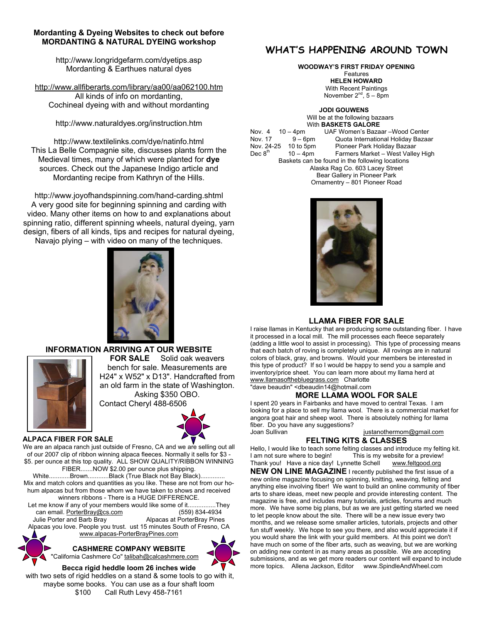#### **Mordanting & Dyeing Websites to check out before MORDANTING & NATURAL DYEING workshop**

http://www.longridgefarm.com/dyetips.asp Mordanting & Earthues natural dyes

http://www.allfiberarts.com/library/aa00/aa062100.htm

All kinds of info on mordanting, Cochineal dyeing with and without mordanting

http://www.naturaldyes.org/instruction.htm

http://www.textilelinks.com/dye/natinfo.html This La Belle Compagnie site, discusses plants form the Medieval times, many of which were planted for **dye** sources. Check out the Japanese Indigo article and Mordanting recipe from Kathryn of the Hills.

http://www.joyofhandspinning.com/hand-carding.shtml A very good site for beginning spinning and carding with video. Many other items on how to and explanations about spinning ratio, different spinning wheels, natural dyeing, yarn design, fibers of all kinds, tips and recipes for natural dyeing, Navajo plying – with video on many of the techniques.



#### **INFORMATION ARRIVING AT OUR WEBSITE**



**FOR SALE** Solid oak weavers bench for sale. Measurements are H24" x W52" x D13". Handcrafted from an old farm in the state of Washington. Asking \$350 OBO.

Contact Cheryl 488-6506



#### **ALPACA FIBER FOR SALE**

We are an alpaca ranch just outside of Fresno, CA and we are selling out all of our 2007 clip of ribbon winning alpaca fleeces. Normally it sells for \$3 - \$5. per ounce at this top quality. ALL SHOW QUALITY/RIBBON WINNING FIBER.......NOW \$2.00 per ounce plus shipping. White............Brown............Black (True Black not Bay Black).............. Mix and match colors and quantities as you like. These are not from our hohum alpacas but from those whom we have taken to shows and received winners ribbons - There is a HUGE DIFFERENCE. Let me know if any of your members would like some of it................They can email. PorterBray@cs.com (559) 834-4934<br>Julie Porter and Barb Bray (Alpacas at PorterBray Pines Alpacas at PorterBray Pines Alpacas you love. People you trust. ust 15 minutes South of Fresno, CA www.alpacas-PorterBrayPines.com

> **CASHMERE COMPANY WEBSITE**  "California Cashmere Co" talibah@calcashmere.com



#### **Becca rigid heddle loom 26 inches wide**

 with two sets of rigid heddles on a stand & some tools to go with it, maybe some books. You can use as a four shaft loom \$100 Call Ruth Levy 458-7161

#### **WHAT'S HAPPENING AROUND TOWN**

**WOODWAY'S FIRST FRIDAY OPENING** 

Features **HELEN HOWARD**  With Recent Paintings November  $2^{nd}$ ,  $5 - 8pm$ 

 **JODI GOUWENS**  Will be at the following bazaars With **BASKETS GALORE**<br>Nov. 4 10 - 4pm UAF Women's Baza Nov. 4 10 – 4pm UAF Women's Bazaar –Wood Center Nov. 17 9 – 6pm Quota International Holiday Bazaar 10 to 5pm Pioneer Park Holiday Bazaar Dec  $8<sup>th</sup>$  10 – 4pm Farmers Market – West Valley High Baskets can be found in the following locations Alaska Rag Co. 603 Lacey Street Bear Gallery in Pioneer Park Ornamentry – 801 Pioneer Road



#### **LLAMA FIBER FOR SALE**

I raise llamas in Kentucky that are producing some outstanding fiber. I have it processed in a local mill. The mill processes each fleece separately (adding a little wool to assist in processing). This type of processing means that each batch of roving is completely unique. All rovings are in natural colors of black, gray, and browns. Would your members be interested in this type of product? If so I would be happy to send you a sample and inventory/price sheet. You can learn more about my llama herd at www.llamasofthebluegrass.com Charlotte "dave beaudin" <dbeaudin14@hotmail.com

#### **MORE LLAMA WOOL FOR SALE**

I spent 20 years in Fairbanks and have moved to central Texas. I am looking for a place to sell my llama wool. There is a commercial market for angora goat hair and sheep wool. There is absolutely nothing for llama fiber. Do you have any suggestions?<br>Joan Sullivan justanothermom@gmail.com

**FELTING KITS & CLASSES** 

Hello, I would like to teach some felting classes and introduce my felting kit. I am not sure where to begin! This is my website for a preview!<br>Thank you! Have a nice day! Lynnette Schell www.feltgood.org Thank you! Have a nice day! Lynnette Schell

**NEW ON LINE MAGAZINE** I recently published the first issue of a new online magazine focusing on spinning, knitting, weaving, felting and anything else involving fiber! We want to build an online community of fiber arts to share ideas, meet new people and provide interesting content. The magazine is free, and includes many tutorials, articles, forums and much more. We have some big plans, but as we are just getting started we need to let people know about the site. There will be a new issue every two months, and we release some smaller articles, tutorials, projects and other fun stuff weekly. We hope to see you there, and also would appreciate it if you would share the link with your guild members. At this point we don't have much on some of the fiber arts, such as weaving, but we are working on adding new content in as many areas as possible. We are accepting submissions, and as we get more readers our content will expand to include more topics. Allena Jackson, Editor www.SpindleAndWheel.com